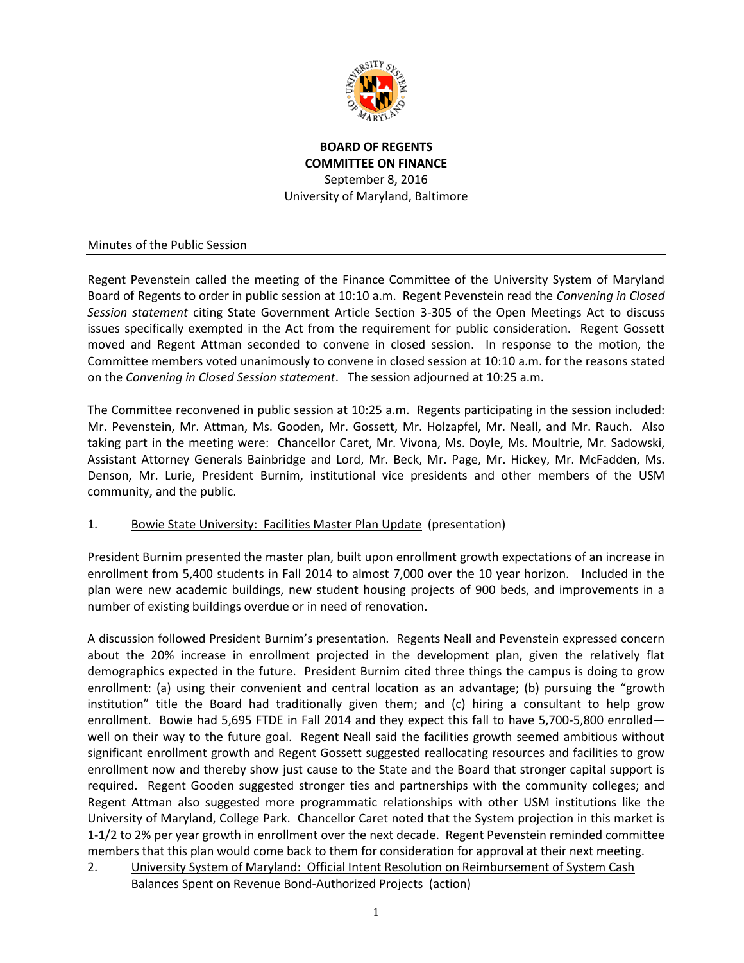

## **BOARD OF REGENTS COMMITTEE ON FINANCE** September 8, 2016 University of Maryland, Baltimore

## Minutes of the Public Session

Regent Pevenstein called the meeting of the Finance Committee of the University System of Maryland Board of Regents to order in public session at 10:10 a.m. Regent Pevenstein read the *Convening in Closed Session statement* citing State Government Article Section 3-305 of the Open Meetings Act to discuss issues specifically exempted in the Act from the requirement for public consideration. Regent Gossett moved and Regent Attman seconded to convene in closed session. In response to the motion, the Committee members voted unanimously to convene in closed session at 10:10 a.m. for the reasons stated on the *Convening in Closed Session statement*. The session adjourned at 10:25 a.m.

The Committee reconvened in public session at 10:25 a.m. Regents participating in the session included: Mr. Pevenstein, Mr. Attman, Ms. Gooden, Mr. Gossett, Mr. Holzapfel, Mr. Neall, and Mr. Rauch. Also taking part in the meeting were: Chancellor Caret, Mr. Vivona, Ms. Doyle, Ms. Moultrie, Mr. Sadowski, Assistant Attorney Generals Bainbridge and Lord, Mr. Beck, Mr. Page, Mr. Hickey, Mr. McFadden, Ms. Denson, Mr. Lurie, President Burnim, institutional vice presidents and other members of the USM community, and the public.

## 1. Bowie State University: Facilities Master Plan Update (presentation)

President Burnim presented the master plan, built upon enrollment growth expectations of an increase in enrollment from 5,400 students in Fall 2014 to almost 7,000 over the 10 year horizon. Included in the plan were new academic buildings, new student housing projects of 900 beds, and improvements in a number of existing buildings overdue or in need of renovation.

A discussion followed President Burnim's presentation. Regents Neall and Pevenstein expressed concern about the 20% increase in enrollment projected in the development plan, given the relatively flat demographics expected in the future. President Burnim cited three things the campus is doing to grow enrollment: (a) using their convenient and central location as an advantage; (b) pursuing the "growth institution" title the Board had traditionally given them; and (c) hiring a consultant to help grow enrollment. Bowie had 5,695 FTDE in Fall 2014 and they expect this fall to have 5,700-5,800 enrolled well on their way to the future goal. Regent Neall said the facilities growth seemed ambitious without significant enrollment growth and Regent Gossett suggested reallocating resources and facilities to grow enrollment now and thereby show just cause to the State and the Board that stronger capital support is required. Regent Gooden suggested stronger ties and partnerships with the community colleges; and Regent Attman also suggested more programmatic relationships with other USM institutions like the University of Maryland, College Park. Chancellor Caret noted that the System projection in this market is 1-1/2 to 2% per year growth in enrollment over the next decade. Regent Pevenstein reminded committee members that this plan would come back to them for consideration for approval at their next meeting.

2. University System of Maryland: Official Intent Resolution on Reimbursement of System Cash Balances Spent on Revenue Bond-Authorized Projects (action)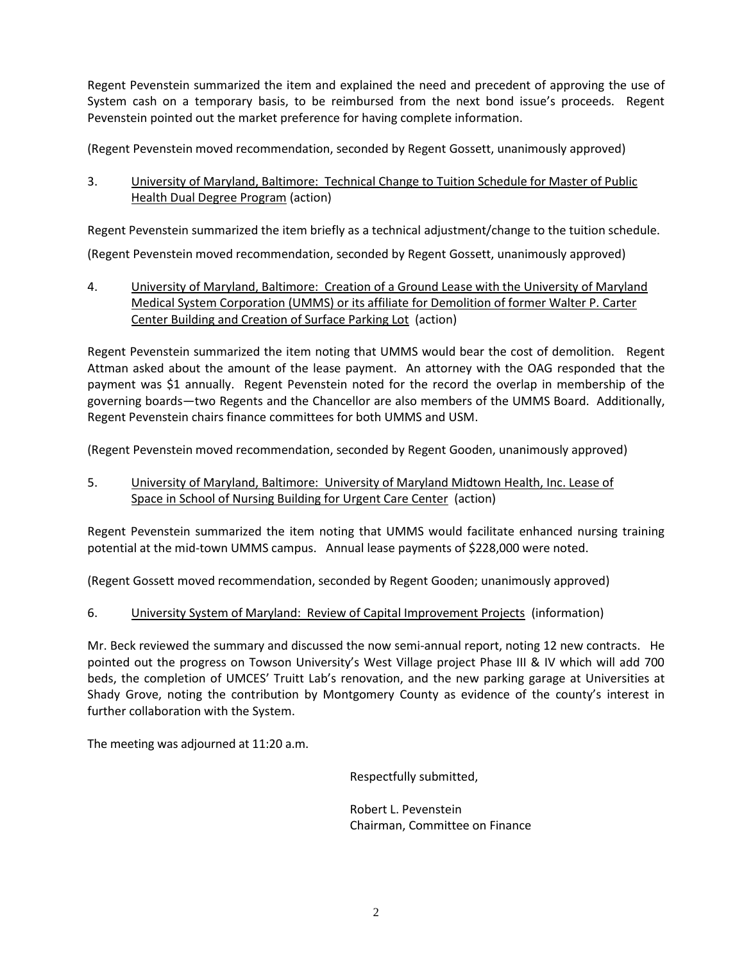Regent Pevenstein summarized the item and explained the need and precedent of approving the use of System cash on a temporary basis, to be reimbursed from the next bond issue's proceeds. Regent Pevenstein pointed out the market preference for having complete information.

(Regent Pevenstein moved recommendation, seconded by Regent Gossett, unanimously approved)

3. University of Maryland, Baltimore: Technical Change to Tuition Schedule for Master of Public Health Dual Degree Program (action)

Regent Pevenstein summarized the item briefly as a technical adjustment/change to the tuition schedule.

(Regent Pevenstein moved recommendation, seconded by Regent Gossett, unanimously approved)

4. University of Maryland, Baltimore: Creation of a Ground Lease with the University of Maryland Medical System Corporation (UMMS) or its affiliate for Demolition of former Walter P. Carter Center Building and Creation of Surface Parking Lot (action)

Regent Pevenstein summarized the item noting that UMMS would bear the cost of demolition. Regent Attman asked about the amount of the lease payment. An attorney with the OAG responded that the payment was \$1 annually. Regent Pevenstein noted for the record the overlap in membership of the governing boards—two Regents and the Chancellor are also members of the UMMS Board. Additionally, Regent Pevenstein chairs finance committees for both UMMS and USM.

(Regent Pevenstein moved recommendation, seconded by Regent Gooden, unanimously approved)

5. University of Maryland, Baltimore: University of Maryland Midtown Health, Inc. Lease of Space in School of Nursing Building for Urgent Care Center (action)

Regent Pevenstein summarized the item noting that UMMS would facilitate enhanced nursing training potential at the mid-town UMMS campus. Annual lease payments of \$228,000 were noted.

(Regent Gossett moved recommendation, seconded by Regent Gooden; unanimously approved)

6. University System of Maryland: Review of Capital Improvement Projects (information)

Mr. Beck reviewed the summary and discussed the now semi-annual report, noting 12 new contracts. He pointed out the progress on Towson University's West Village project Phase III & IV which will add 700 beds, the completion of UMCES' Truitt Lab's renovation, and the new parking garage at Universities at Shady Grove, noting the contribution by Montgomery County as evidence of the county's interest in further collaboration with the System.

The meeting was adjourned at 11:20 a.m.

Respectfully submitted,

Robert L. Pevenstein Chairman, Committee on Finance